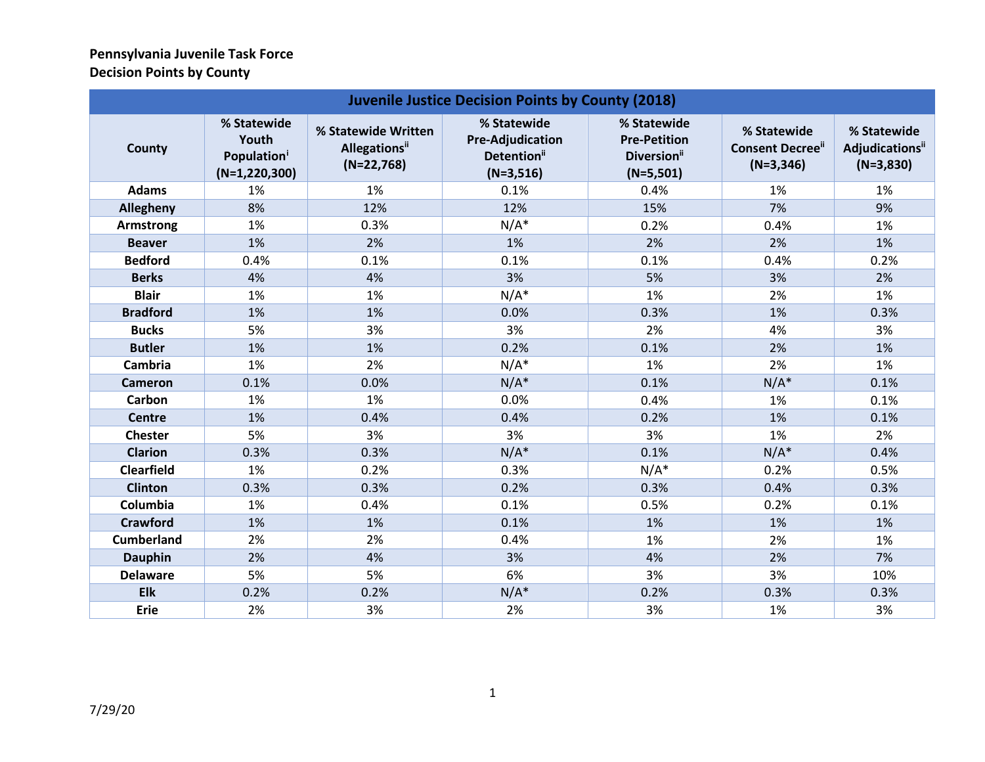## **Pennsylvania Juvenile Task Force Decision Points by County**

| <b>Juvenile Justice Decision Points by County (2018)</b> |                                                                    |                                                              |                                                                                  |                                                                              |                                                      |                                                           |  |
|----------------------------------------------------------|--------------------------------------------------------------------|--------------------------------------------------------------|----------------------------------------------------------------------------------|------------------------------------------------------------------------------|------------------------------------------------------|-----------------------------------------------------------|--|
| County                                                   | % Statewide<br>Youth<br>Population <sup>i</sup><br>$(N=1,220,300)$ | % Statewide Written<br><b>Allegations</b> ii<br>$(N=22,768)$ | % Statewide<br><b>Pre-Adjudication</b><br>Detention <sup>ii</sup><br>$(N=3,516)$ | % Statewide<br><b>Pre-Petition</b><br>Diversion <sup>ii</sup><br>$(N=5,501)$ | % Statewide<br><b>Consent Decree"</b><br>$(N=3,346)$ | % Statewide<br>Adjudications <sup>ii</sup><br>$(N=3,830)$ |  |
| <b>Adams</b>                                             | 1%                                                                 | 1%                                                           | 0.1%                                                                             | 0.4%                                                                         | 1%                                                   | 1%                                                        |  |
| Allegheny                                                | 8%                                                                 | 12%                                                          | 12%                                                                              | 15%                                                                          | 7%                                                   | 9%                                                        |  |
| Armstrong                                                | 1%                                                                 | 0.3%                                                         | $N/A^*$                                                                          | 0.2%                                                                         | 0.4%                                                 | 1%                                                        |  |
| <b>Beaver</b>                                            | 1%                                                                 | 2%                                                           | 1%                                                                               | 2%                                                                           | 2%                                                   | 1%                                                        |  |
| <b>Bedford</b>                                           | 0.4%                                                               | 0.1%                                                         | 0.1%                                                                             | 0.1%                                                                         | 0.4%                                                 | 0.2%                                                      |  |
| <b>Berks</b>                                             | 4%                                                                 | 4%                                                           | 3%                                                                               | 5%                                                                           | 3%                                                   | 2%                                                        |  |
| <b>Blair</b>                                             | 1%                                                                 | 1%                                                           | $N/A^*$                                                                          | 1%                                                                           | 2%                                                   | 1%                                                        |  |
| <b>Bradford</b>                                          | 1%                                                                 | 1%                                                           | 0.0%                                                                             | 0.3%                                                                         | 1%                                                   | 0.3%                                                      |  |
| <b>Bucks</b>                                             | 5%                                                                 | 3%                                                           | 3%                                                                               | 2%                                                                           | 4%                                                   | 3%                                                        |  |
| <b>Butler</b>                                            | 1%                                                                 | 1%                                                           | 0.2%                                                                             | 0.1%                                                                         | 2%                                                   | 1%                                                        |  |
| Cambria                                                  | 1%                                                                 | 2%                                                           | $N/A^*$                                                                          | 1%                                                                           | 2%                                                   | 1%                                                        |  |
| <b>Cameron</b>                                           | 0.1%                                                               | 0.0%                                                         | $N/A^*$                                                                          | 0.1%                                                                         | $N/A^*$                                              | 0.1%                                                      |  |
| Carbon                                                   | 1%                                                                 | 1%                                                           | 0.0%                                                                             | 0.4%                                                                         | 1%                                                   | 0.1%                                                      |  |
| <b>Centre</b>                                            | 1%                                                                 | 0.4%                                                         | 0.4%                                                                             | 0.2%                                                                         | 1%                                                   | 0.1%                                                      |  |
| <b>Chester</b>                                           | 5%                                                                 | 3%                                                           | 3%                                                                               | 3%                                                                           | 1%                                                   | 2%                                                        |  |
| <b>Clarion</b>                                           | 0.3%                                                               | 0.3%                                                         | $N/A^*$                                                                          | 0.1%                                                                         | $N/A^*$                                              | 0.4%                                                      |  |
| <b>Clearfield</b>                                        | 1%                                                                 | 0.2%                                                         | 0.3%                                                                             | $N/A^*$                                                                      | 0.2%                                                 | 0.5%                                                      |  |
| <b>Clinton</b>                                           | 0.3%                                                               | 0.3%                                                         | 0.2%                                                                             | 0.3%                                                                         | 0.4%                                                 | 0.3%                                                      |  |
| Columbia                                                 | 1%                                                                 | 0.4%                                                         | 0.1%                                                                             | 0.5%                                                                         | 0.2%                                                 | 0.1%                                                      |  |
| <b>Crawford</b>                                          | 1%                                                                 | 1%                                                           | 0.1%                                                                             | 1%                                                                           | 1%                                                   | 1%                                                        |  |
| <b>Cumberland</b>                                        | 2%                                                                 | 2%                                                           | 0.4%                                                                             | 1%                                                                           | 2%                                                   | 1%                                                        |  |
| <b>Dauphin</b>                                           | 2%                                                                 | 4%                                                           | 3%                                                                               | 4%                                                                           | 2%                                                   | 7%                                                        |  |
| <b>Delaware</b>                                          | 5%                                                                 | 5%                                                           | 6%                                                                               | 3%                                                                           | 3%                                                   | 10%                                                       |  |
| <b>Elk</b>                                               | 0.2%                                                               | 0.2%                                                         | $N/A^*$                                                                          | 0.2%                                                                         | 0.3%                                                 | 0.3%                                                      |  |
| <b>Erie</b>                                              | 2%                                                                 | 3%                                                           | 2%                                                                               | 3%                                                                           | 1%                                                   | 3%                                                        |  |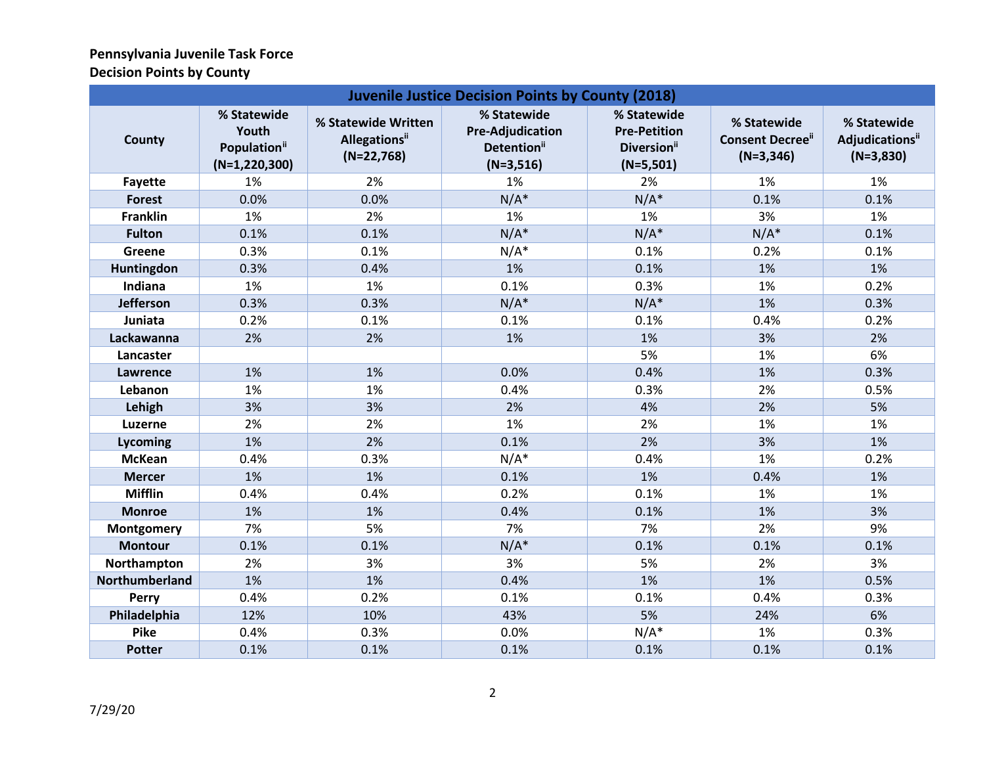## <span id="page-1-1"></span><span id="page-1-0"></span>**Pennsylvania Juvenile Task Force Decision Points by County**

| <b>Juvenile Justice Decision Points by County (2018)</b> |                                                                     |                                                              |                                                                                  |                                                                              |                                                      |                                               |  |
|----------------------------------------------------------|---------------------------------------------------------------------|--------------------------------------------------------------|----------------------------------------------------------------------------------|------------------------------------------------------------------------------|------------------------------------------------------|-----------------------------------------------|--|
| County                                                   | % Statewide<br>Youth<br>Population <sup>ii</sup><br>$(N=1,220,300)$ | % Statewide Written<br><b>Allegations</b> ii<br>$(N=22,768)$ | % Statewide<br><b>Pre-Adjudication</b><br>Detention <sup>ii</sup><br>$(N=3,516)$ | % Statewide<br><b>Pre-Petition</b><br>Diversion <sup>ii</sup><br>$(N=5,501)$ | % Statewide<br><b>Consent Decree"</b><br>$(N=3,346)$ | % Statewide<br>Adjudicationsii<br>$(N=3,830)$ |  |
| Fayette                                                  | 1%                                                                  | 2%                                                           | 1%                                                                               | 2%                                                                           | 1%                                                   | 1%                                            |  |
| <b>Forest</b>                                            | 0.0%                                                                | 0.0%                                                         | $N/A^*$                                                                          | $N/A^*$                                                                      | 0.1%                                                 | 0.1%                                          |  |
| <b>Franklin</b>                                          | 1%                                                                  | 2%                                                           | 1%                                                                               | 1%                                                                           | 3%                                                   | 1%                                            |  |
| <b>Fulton</b>                                            | 0.1%                                                                | 0.1%                                                         | $N/A^*$                                                                          | $N/A^*$                                                                      | $N/A^*$                                              | 0.1%                                          |  |
| Greene                                                   | 0.3%                                                                | 0.1%                                                         | $N/A^*$                                                                          | 0.1%                                                                         | 0.2%                                                 | 0.1%                                          |  |
| Huntingdon                                               | 0.3%                                                                | 0.4%                                                         | 1%                                                                               | 0.1%                                                                         | 1%                                                   | 1%                                            |  |
| Indiana                                                  | 1%                                                                  | 1%                                                           | 0.1%                                                                             | 0.3%                                                                         | 1%                                                   | 0.2%                                          |  |
| <b>Jefferson</b>                                         | 0.3%                                                                | 0.3%                                                         | $N/A^*$                                                                          | $N/A^*$                                                                      | 1%                                                   | 0.3%                                          |  |
| Juniata                                                  | 0.2%                                                                | 0.1%                                                         | 0.1%                                                                             | 0.1%                                                                         | 0.4%                                                 | 0.2%                                          |  |
| Lackawanna                                               | 2%                                                                  | 2%                                                           | 1%                                                                               | 1%                                                                           | 3%                                                   | 2%                                            |  |
| Lancaster                                                |                                                                     |                                                              |                                                                                  | 5%                                                                           | 1%                                                   | 6%                                            |  |
| Lawrence                                                 | 1%                                                                  | 1%                                                           | 0.0%                                                                             | 0.4%                                                                         | 1%                                                   | 0.3%                                          |  |
| Lebanon                                                  | 1%                                                                  | 1%                                                           | 0.4%                                                                             | 0.3%                                                                         | 2%                                                   | 0.5%                                          |  |
| Lehigh                                                   | 3%                                                                  | 3%                                                           | 2%                                                                               | 4%                                                                           | 2%                                                   | 5%                                            |  |
| <b>Luzerne</b>                                           | 2%                                                                  | 2%                                                           | 1%                                                                               | 2%                                                                           | 1%                                                   | 1%                                            |  |
| Lycoming                                                 | 1%                                                                  | 2%                                                           | 0.1%                                                                             | 2%                                                                           | 3%                                                   | 1%                                            |  |
| <b>McKean</b>                                            | 0.4%                                                                | 0.3%                                                         | $N/A^*$                                                                          | 0.4%                                                                         | 1%                                                   | 0.2%                                          |  |
| <b>Mercer</b>                                            | 1%                                                                  | 1%                                                           | 0.1%                                                                             | 1%                                                                           | 0.4%                                                 | 1%                                            |  |
| <b>Mifflin</b>                                           | 0.4%                                                                | 0.4%                                                         | 0.2%                                                                             | 0.1%                                                                         | 1%                                                   | 1%                                            |  |
| <b>Monroe</b>                                            | 1%                                                                  | 1%                                                           | 0.4%                                                                             | 0.1%                                                                         | 1%                                                   | 3%                                            |  |
| <b>Montgomery</b>                                        | 7%                                                                  | 5%                                                           | 7%                                                                               | 7%                                                                           | 2%                                                   | 9%                                            |  |
| <b>Montour</b>                                           | 0.1%                                                                | 0.1%                                                         | $N/A^*$                                                                          | 0.1%                                                                         | 0.1%                                                 | 0.1%                                          |  |
| Northampton                                              | 2%                                                                  | 3%                                                           | 3%                                                                               | 5%                                                                           | 2%                                                   | 3%                                            |  |
| Northumberland                                           | 1%                                                                  | 1%                                                           | 0.4%                                                                             | 1%                                                                           | 1%                                                   | 0.5%                                          |  |
| <b>Perry</b>                                             | 0.4%                                                                | 0.2%                                                         | 0.1%                                                                             | 0.1%                                                                         | 0.4%                                                 | 0.3%                                          |  |
| Philadelphia                                             | 12%                                                                 | 10%                                                          | 43%                                                                              | 5%                                                                           | 24%                                                  | 6%                                            |  |
| <b>Pike</b>                                              | 0.4%                                                                | 0.3%                                                         | 0.0%                                                                             | $N/A^*$                                                                      | 1%                                                   | 0.3%                                          |  |
| <b>Potter</b>                                            | 0.1%                                                                | 0.1%                                                         | 0.1%                                                                             | 0.1%                                                                         | 0.1%                                                 | 0.1%                                          |  |